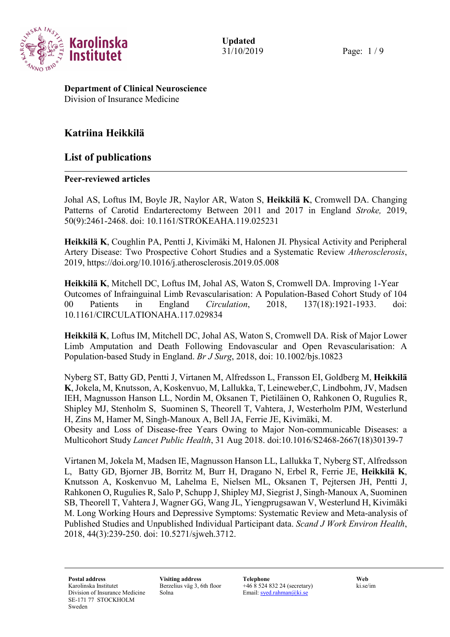

31/10/2019 Page: 1 / 9

Department of Clinical Neuroscience Division of Insurance Medicine

# Katriina Heikkilä

## List of publications

## Peer-reviewed articles

Johal AS, Loftus IM, Boyle JR, Naylor AR, Waton S, Heikkilä K, Cromwell DA. Changing Patterns of Carotid Endarterectomy Between 2011 and 2017 in England Stroke, 2019, 50(9):2461-2468. doi: 10.1161/STROKEAHA.119.025231

Heikkilä K, Coughlin PA, Pentti J, Kivimäki M, Halonen JI. Physical Activity and Peripheral Artery Disease: Two Prospective Cohort Studies and a Systematic Review Atherosclerosis, 2019, https://doi.org/10.1016/j.atherosclerosis.2019.05.008

Heikkilä K, Mitchell DC, Loftus IM, Johal AS, Waton S, Cromwell DA. Improving 1-Year Outcomes of Infrainguinal Limb Revascularisation: A Population-Based Cohort Study of 104 00 Patients in England Circulation, 2018, 137(18):1921-1933. doi: 10.1161/CIRCULATIONAHA.117.029834

Heikkilä K, Loftus IM, Mitchell DC, Johal AS, Waton S, Cromwell DA. Risk of Major Lower Limb Amputation and Death Following Endovascular and Open Revascularisation: A Population-based Study in England. Br J Surg, 2018, doi: 10.1002/bjs.10823

Nyberg ST, Batty GD, Pentti J, Virtanen M, Alfredsson L, Fransson EI, Goldberg M, Heikkilä K, Jokela, M, Knutsson, A, Koskenvuo, M, Lallukka, T, Leineweber,C, Lindbohm, JV, Madsen IEH, Magnusson Hanson LL, Nordin M, Oksanen T, Pietiläinen O, Rahkonen O, Rugulies R, Shipley MJ, Stenholm S, Suominen S, Theorell T, Vahtera, J, Westerholm PJM, Westerlund H, Zins M, Hamer M, Singh-Manoux A, Bell JA, Ferrie JE, Kivimäki, M.

Obesity and Loss of Disease-free Years Owing to Major Non-communicable Diseases: a Multicohort Study Lancet Public Health, 31 Aug 2018. doi:10.1016/S2468-2667(18)30139-7

Virtanen M, Jokela M, Madsen IE, Magnusson Hanson LL, Lallukka T, Nyberg ST, Alfredsson L, Batty GD, Bjorner JB, Borritz M, Burr H, Dragano N, Erbel R, Ferrie JE, Heikkilä K, Knutsson A, Koskenvuo M, Lahelma E, Nielsen ML, Oksanen T, Pejtersen JH, Pentti J, Rahkonen O, Rugulies R, Salo P, Schupp J, Shipley MJ, Siegrist J, Singh-Manoux A, Suominen SB, Theorell T, Vahtera J, Wagner GG, Wang JL, Yiengprugsawan V, Westerlund H, Kivimäki M. Long Working Hours and Depressive Symptoms: Systematic Review and Meta-analysis of Published Studies and Unpublished Individual Participant data. Scand J Work Environ Health, 2018, 44(3):239-250. doi: 10.5271/sjweh.3712.

Berzelius väg 3, 6th floor Solna

+46 8 524 832 24 (secretary) Email: syed.rahman@ki.se

ki.se/im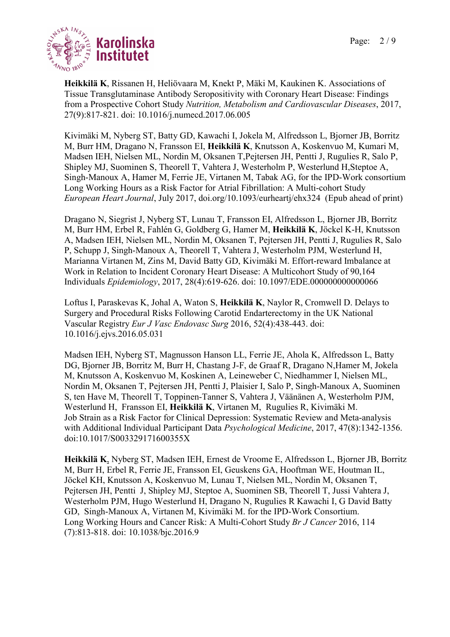

Heikkilä K, Rissanen H, Heliövaara M, Knekt P, Mäki M, Kaukinen K. Associations of Tissue Transglutaminase Antibody Seropositivity with Coronary Heart Disease: Findings from a Prospective Cohort Study Nutrition, Metabolism and Cardiovascular Diseases, 2017, 27(9):817-821. doi: 10.1016/j.numecd.2017.06.005

Kivimäki M, Nyberg ST, Batty GD, Kawachi I, Jokela M, Alfredsson L, Bjorner JB, Borritz M, Burr HM, Dragano N, Fransson EI, Heikkilä K, Knutsson A, Koskenvuo M, Kumari M, Madsen IEH, Nielsen ML, Nordin M, Oksanen T,Pejtersen JH, Pentti J, Rugulies R, Salo P, Shipley MJ, Suominen S, Theorell T, Vahtera J, Westerholm P, Westerlund H,Steptoe A, Singh-Manoux A, Hamer M, Ferrie JE, Virtanen M, Tabak AG, for the IPD-Work consortium Long Working Hours as a Risk Factor for Atrial Fibrillation: A Multi-cohort Study European Heart Journal, July 2017, doi.org/10.1093/eurheartj/ehx324 (Epub ahead of print)

Dragano N, Siegrist J, Nyberg ST, Lunau T, Fransson EI, Alfredsson L, Bjorner JB, Borritz M, Burr HM, Erbel R, Fahlén G, Goldberg G, Hamer M, Heikkilä K, Jöckel K-H, Knutsson A, Madsen IEH, Nielsen ML, Nordin M, Oksanen T, Pejtersen JH, Pentti J, Rugulies R, Salo P, Schupp J, Singh-Manoux A, Theorell T, Vahtera J, Westerholm PJM, Westerlund H, Marianna Virtanen M, Zins M, David Batty GD, Kivimäki M. Effort-reward Imbalance at Work in Relation to Incident Coronary Heart Disease: A Multicohort Study of 90,164 Individuals Epidemiology, 2017, 28(4):619-626. doi: 10.1097/EDE.000000000000066

Loftus I, Paraskevas K, Johal A, Waton S, Heikkilä K, Naylor R, Cromwell D. Delays to Surgery and Procedural Risks Following Carotid Endarterectomy in the UK National Vascular Registry Eur J Vasc Endovasc Surg 2016, 52(4):438-443. doi: 10.1016/j.ejvs.2016.05.031

Madsen IEH, Nyberg ST, Magnusson Hanson LL, Ferrie JE, Ahola K, Alfredsson L, Batty DG, Bjorner JB, Borritz M, Burr H, Chastang J-F, de Graaf R, Dragano N,Hamer M, Jokela M, Knutsson A, Koskenvuo M, Koskinen A, Leineweber C, Niedhammer I, Nielsen ML, Nordin M, Oksanen T, Pejtersen JH, Pentti J, Plaisier I, Salo P, Singh-Manoux A, Suominen S, ten Have M, Theorell T, Toppinen-Tanner S, Vahtera J, Väänänen A, Westerholm PJM, Westerlund H, Fransson EI, Heikkilä K, Virtanen M, Rugulies R, Kivimäki M. Job Strain as a Risk Factor for Clinical Depression: Systematic Review and Meta-analysis with Additional Individual Participant Data Psychological Medicine, 2017, 47(8):1342-1356. doi:10.1017/S003329171600355X

Heikkilä K, Nyberg ST, Madsen IEH, Ernest de Vroome E, Alfredsson L, Bjorner JB, Borritz M, Burr H, Erbel R, Ferrie JE, Fransson EI, Geuskens GA, Hooftman WE, Houtman IL, Jöckel KH, Knutsson A, Koskenvuo M, Lunau T, Nielsen ML, Nordin M, Oksanen T, Pejtersen JH, Pentti J, Shipley MJ, Steptoe A, Suominen SB, Theorell T, Jussi Vahtera J, Westerholm PJM, Hugo Westerlund H, Dragano N, Rugulies R Kawachi I, G David Batty GD, Singh-Manoux A, Virtanen M, Kivimäki M. for the IPD-Work Consortium. Long Working Hours and Cancer Risk: A Multi-Cohort Study Br J Cancer 2016, 114 (7):813-818. doi: 10.1038/bjc.2016.9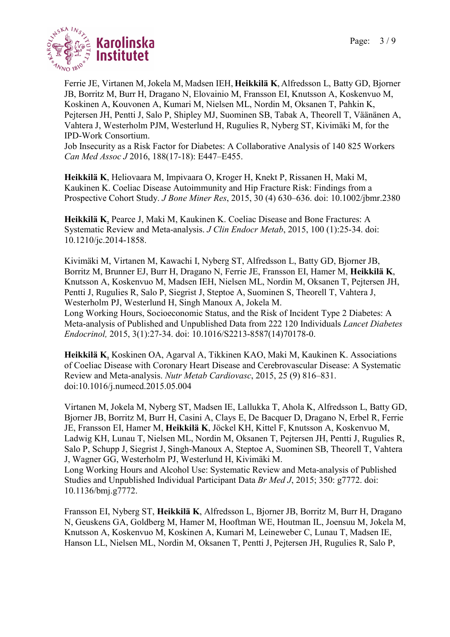

Ferrie JE, Virtanen M,Jokela M, Madsen IEH, Heikkilä K, Alfredsson L, Batty GD, Bjorner JB, Borritz M, Burr H, Dragano N, Elovainio M, Fransson EI, Knutsson A, Koskenvuo M, Koskinen A, Kouvonen A, Kumari M, Nielsen ML, Nordin M, Oksanen T, Pahkin K, Pejtersen JH, Pentti J, Salo P, Shipley MJ, Suominen SB, Tabak A, Theorell T, Väänänen A, Vahtera J, Westerholm PJM, Westerlund H, Rugulies R, Nyberg ST, Kivimäki M, for the IPD-Work Consortium.

Job Insecurity as a Risk Factor for Diabetes: A Collaborative Analysis of 140 825 Workers Can Med Assoc J 2016, 188(17-18): E447–E455.

Heikkilä K, Heliovaara M, Impivaara O, Kroger H, Knekt P, Rissanen H, Maki M, Kaukinen K. Coeliac Disease Autoimmunity and Hip Fracture Risk: Findings from a Prospective Cohort Study. J Bone Miner Res, 2015, 30 (4) 630–636. doi: 10.1002/jbmr.2380

Heikkilä K, Pearce J, Maki M, Kaukinen K. Coeliac Disease and Bone Fractures: A Systematic Review and Meta-analysis. J Clin Endocr Metab, 2015, 100 (1):25-34. doi: 10.1210/jc.2014-1858.

Kivimäki M, Virtanen M, Kawachi I, Nyberg ST, Alfredsson L, Batty GD, Bjorner JB, Borritz M, Brunner EJ, Burr H, Dragano N, Ferrie JE, Fransson EI, Hamer M, Heikkilä K, Knutsson A, Koskenvuo M, Madsen IEH, Nielsen ML, Nordin M, Oksanen T, Pejtersen JH, Pentti J, Rugulies R, Salo P, Siegrist J, Steptoe A, Suominen S, Theorell T, Vahtera J, Westerholm PJ, Westerlund H, Singh Manoux A, Jokela M. Long Working Hours, Socioeconomic Status, and the Risk of Incident Type 2 Diabetes: A

Meta-analysis of Published and Unpublished Data from 222 120 Individuals Lancet Diabetes Endocrinol, 2015, 3(1):27-34. doi: 10.1016/S2213-8587(14)70178-0.

Heikkilä K, Koskinen OA, Agarval A, Tikkinen KAO, Maki M, Kaukinen K. Associations of Coeliac Disease with Coronary Heart Disease and Cerebrovascular Disease: A Systematic Review and Meta-analysis. Nutr Metab Cardiovasc, 2015, 25 (9) 816–831. doi:10.1016/j.numecd.2015.05.004

Virtanen M, Jokela M, Nyberg ST, Madsen IE, Lallukka T, Ahola K, Alfredsson L, Batty GD, Bjorner JB, Borritz M, Burr H, Casini A, Clays E, De Bacquer D, Dragano N, Erbel R, Ferrie JE, Fransson EI, Hamer M, Heikkilä K, Jöckel KH, Kittel F, Knutsson A, Koskenvuo M, Ladwig KH, Lunau T, Nielsen ML, Nordin M, Oksanen T, Pejtersen JH, Pentti J, Rugulies R, Salo P, Schupp J, Siegrist J, Singh-Manoux A, Steptoe A, Suominen SB, Theorell T, Vahtera J, Wagner GG, Westerholm PJ, Westerlund H, Kivimäki M.

Long Working Hours and Alcohol Use: Systematic Review and Meta-analysis of Published Studies and Unpublished Individual Participant Data Br Med J, 2015; 350: g7772. doi: 10.1136/bmj.g7772.

Fransson EI, Nyberg ST, Heikkilä K, Alfredsson L, Bjorner JB, Borritz M, Burr H, Dragano N, Geuskens GA, Goldberg M, Hamer M, Hooftman WE, Houtman IL, Joensuu M, Jokela M, Knutsson A, Koskenvuo M, Koskinen A, Kumari M, Leineweber C, Lunau T, Madsen IE, Hanson LL, Nielsen ML, Nordin M, Oksanen T, Pentti J, Pejtersen JH, Rugulies R, Salo P,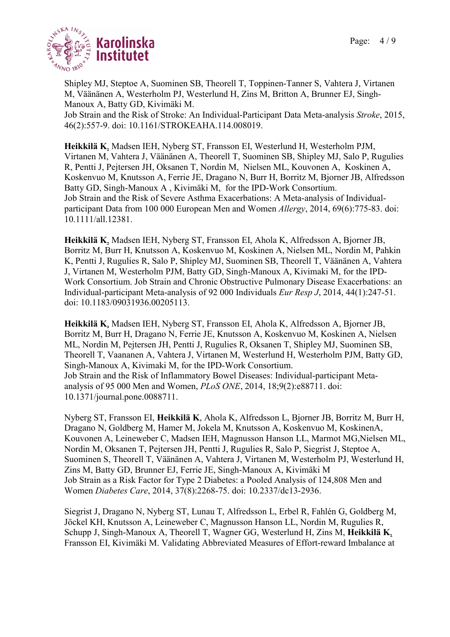

Shipley MJ, Steptoe A, Suominen SB, Theorell T, Toppinen-Tanner S, Vahtera J, Virtanen M, Väänänen A, Westerholm PJ, Westerlund H, Zins M, Britton A, Brunner EJ, Singh-Manoux A, Batty GD, Kivimäki M. Job Strain and the Risk of Stroke: An Individual-Participant Data Meta-analysis Stroke, 2015, 46(2):557-9. doi: 10.1161/STROKEAHA.114.008019.

Heikkilä K, Madsen IEH, Nyberg ST, Fransson EI, Westerlund H, Westerholm PJM, Virtanen M, Vahtera J, Väänänen A, Theorell T, Suominen SB, Shipley MJ, Salo P, Rugulies R, Pentti J, Pejtersen JH, Oksanen T, Nordin M, Nielsen ML, Kouvonen A, Koskinen A, Koskenvuo M, Knutsson A, Ferrie JE, Dragano N, Burr H, Borritz M, Bjorner JB, Alfredsson Batty GD, Singh-Manoux A , Kivimäki M, for the IPD-Work Consortium. Job Strain and the Risk of Severe Asthma Exacerbations: A Meta-analysis of Individualparticipant Data from 100 000 European Men and Women *Allergy*, 2014, 69(6):775-83. doi: 10.1111/all.12381.

Heikkilä K, Madsen IEH, Nyberg ST, Fransson EI, Ahola K, Alfredsson A, Bjorner JB, Borritz M, Burr H, Knutsson A, Koskenvuo M, Koskinen A, Nielsen ML, Nordin M, Pahkin K, Pentti J, Rugulies R, Salo P, Shipley MJ, Suominen SB, Theorell T, Väänänen A, Vahtera J, Virtanen M, Westerholm PJM, Batty GD, Singh-Manoux A, Kivimaki M, for the IPD-Work Consortium. Job Strain and Chronic Obstructive Pulmonary Disease Exacerbations: an Individual-participant Meta-analysis of 92 000 Individuals Eur Resp J, 2014, 44(1):247-51. doi: 10.1183/09031936.00205113.

Heikkilä K, Madsen IEH, Nyberg ST, Fransson EI, Ahola K, Alfredsson A, Bjorner JB, Borritz M, Burr H, Dragano N, Ferrie JE, Knutsson A, Koskenvuo M, Koskinen A, Nielsen ML, Nordin M, Pejtersen JH, Pentti J, Rugulies R, Oksanen T, Shipley MJ, Suominen SB, Theorell T, Vaananen A, Vahtera J, Virtanen M, Westerlund H, Westerholm PJM, Batty GD, Singh-Manoux A, Kivimaki M, for the IPD-Work Consortium. Job Strain and the Risk of Inflammatory Bowel Diseases: Individual-participant Metaanalysis of 95 000 Men and Women, PLoS ONE, 2014, 18;9(2):e88711. doi: 10.1371/journal.pone.0088711.

Nyberg ST, Fransson EI, Heikkilä K, Ahola K, Alfredsson L, Bjorner JB, Borritz M, Burr H, Dragano N, Goldberg M, Hamer M, Jokela M, Knutsson A, Koskenvuo M, KoskinenA, Kouvonen A, Leineweber C, Madsen IEH, Magnusson Hanson LL, Marmot MG,Nielsen ML, Nordin M, Oksanen T, Pejtersen JH, Pentti J, Rugulies R, Salo P, Siegrist J, Steptoe A, Suominen S, Theorell T, Väänänen A, Vahtera J, Virtanen M, Westerholm PJ, Westerlund H, Zins M, Batty GD, Brunner EJ, Ferrie JE, Singh-Manoux A, Kivimäki M Job Strain as a Risk Factor for Type 2 Diabetes: a Pooled Analysis of 124,808 Men and Women Diabetes Care, 2014, 37(8):2268-75. doi: 10.2337/dc13-2936.

Siegrist J, Dragano N, Nyberg ST, Lunau T, Alfredsson L, Erbel R, Fahlén G, Goldberg M, Jöckel KH, Knutsson A, Leineweber C, Magnusson Hanson LL, Nordin M, Rugulies R, Schupp J, Singh-Manoux A, Theorell T, Wagner GG, Westerlund H, Zins M, Heikkilä K, Fransson EI, Kivimäki M. Validating Abbreviated Measures of Effort-reward Imbalance at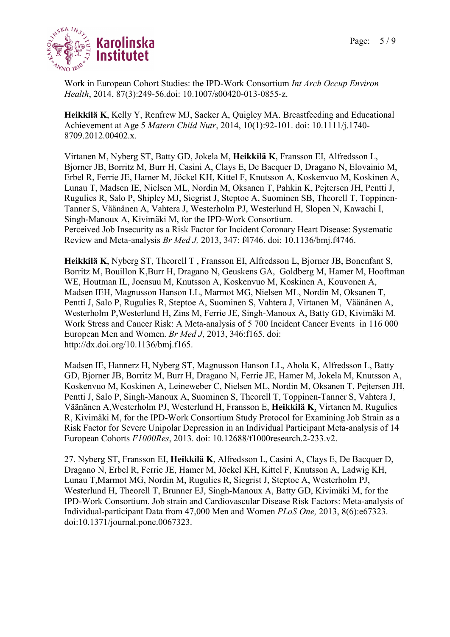

Work in European Cohort Studies: the IPD-Work Consortium Int Arch Occup Environ Health, 2014, 87(3):249-56.doi: 10.1007/s00420-013-0855-z.

Heikkilä K, Kelly Y, Renfrew MJ, Sacker A, Quigley MA. Breastfeeding and Educational Achievement at Age 5 Matern Child Nutr, 2014, 10(1):92-101. doi: 10.1111/j.1740- 8709.2012.00402.x.

Virtanen M, Nyberg ST, Batty GD, Jokela M, Heikkilä K, Fransson EI, Alfredsson L, Bjorner JB, Borritz M, Burr H, Casini A, Clays E, De Bacquer D, Dragano N, Elovainio M, Erbel R, Ferrie JE, Hamer M, Jöckel KH, Kittel F, Knutsson A, Koskenvuo M, Koskinen A, Lunau T, Madsen IE, Nielsen ML, Nordin M, Oksanen T, Pahkin K, Pejtersen JH, Pentti J, Rugulies R, Salo P, Shipley MJ, Siegrist J, Steptoe A, Suominen SB, Theorell T, Toppinen-Tanner S, Väänänen A, Vahtera J, Westerholm PJ, Westerlund H, Slopen N, Kawachi I, Singh-Manoux A, Kivimäki M, for the IPD-Work Consortium. Perceived Job Insecurity as a Risk Factor for Incident Coronary Heart Disease: Systematic Review and Meta-analysis Br Med J, 2013, 347: f4746. doi: 10.1136/bmj.f4746.

Heikkilä K, Nyberg ST, Theorell T , Fransson EI, Alfredsson L, Bjorner JB, Bonenfant S, Borritz M, Bouillon K,Burr H, Dragano N, Geuskens GA, Goldberg M, Hamer M, Hooftman WE, Houtman IL, Joensuu M, Knutsson A, Koskenvuo M, Koskinen A, Kouvonen A, Madsen IEH, Magnusson Hanson LL, Marmot MG, Nielsen ML, Nordin M, Oksanen T, Pentti J, Salo P, Rugulies R, Steptoe A, Suominen S, Vahtera J, Virtanen M, Väänänen A, Westerholm P,Westerlund H, Zins M, Ferrie JE, Singh-Manoux A, Batty GD, Kivimäki M. Work Stress and Cancer Risk: A Meta-analysis of 5 700 Incident Cancer Events in 116 000 European Men and Women. Br Med J, 2013, 346:f165. doi: http://dx.doi.org/10.1136/bmj.f165.

Madsen IE, Hannerz H, Nyberg ST, Magnusson Hanson LL, Ahola K, Alfredsson L, Batty GD, Bjorner JB, Borritz M, Burr H, Dragano N, Ferrie JE, Hamer M, Jokela M, Knutsson A, Koskenvuo M, Koskinen A, Leineweber C, Nielsen ML, Nordin M, Oksanen T, Pejtersen JH, Pentti J, Salo P, Singh-Manoux A, Suominen S, Theorell T, Toppinen-Tanner S, Vahtera J, Väänänen A,Westerholm PJ, Westerlund H, Fransson E, Heikkilä K, Virtanen M, Rugulies R, Kivimäki M, for the IPD-Work Consortium Study Protocol for Examining Job Strain as a Risk Factor for Severe Unipolar Depression in an Individual Participant Meta-analysis of 14 European Cohorts F1000Res, 2013. doi: 10.12688/f1000research.2-233.v2.

27. Nyberg ST, Fransson EI, Heikkilä K, Alfredsson L, Casini A, Clays E, De Bacquer D, Dragano N, Erbel R, Ferrie JE, Hamer M, Jöckel KH, Kittel F, Knutsson A, Ladwig KH, Lunau T,Marmot MG, Nordin M, Rugulies R, Siegrist J, Steptoe A, Westerholm PJ, Westerlund H, Theorell T, Brunner EJ, Singh-Manoux A, Batty GD, Kivimäki M, for the IPD-Work Consortium. Job strain and Cardiovascular Disease Risk Factors: Meta-analysis of Individual-participant Data from 47,000 Men and Women PLoS One, 2013, 8(6):e67323. doi:10.1371/journal.pone.0067323.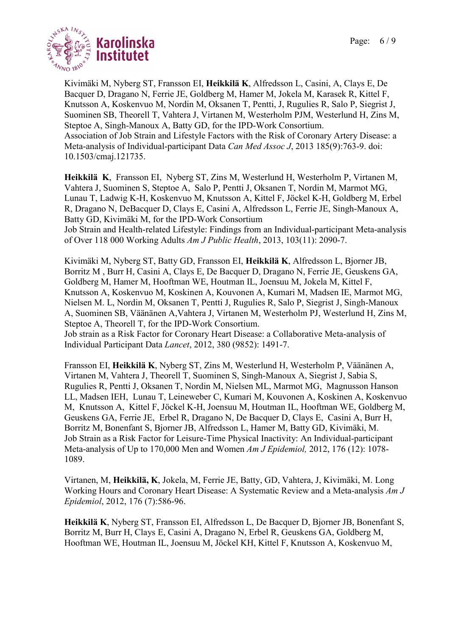

Kivimäki M, Nyberg ST, Fransson EI, Heikkilä K, Alfredsson L, Casini, A, Clays E, De Bacquer D, Dragano N, Ferrie JE, Goldberg M, Hamer M, Jokela M, Karasek R, Kittel F, Knutsson A, Koskenvuo M, Nordin M, Oksanen T, Pentti, J, Rugulies R, Salo P, Siegrist J, Suominen SB, Theorell T, Vahtera J, Virtanen M, Westerholm PJM, Westerlund H, Zins M, Steptoe A, Singh-Manoux A, Batty GD, for the IPD-Work Consortium. Association of Job Strain and Lifestyle Factors with the Risk of Coronary Artery Disease: a Meta-analysis of Individual-participant Data Can Med Assoc J, 2013 185(9):763-9. doi: 10.1503/cmaj.121735.

Heikkilä K, Fransson EI, Nyberg ST, Zins M, Westerlund H, Westerholm P, Virtanen M, Vahtera J, Suominen S, Steptoe A, Salo P, Pentti J, Oksanen T, Nordin M, Marmot MG, Lunau T, Ladwig K-H, Koskenvuo M, Knutsson A, Kittel F, Jöckel K-H, Goldberg M, Erbel R, Dragano N, DeBacquer D, Clays E, Casini A, Alfredsson L, Ferrie JE, Singh-Manoux A, Batty GD, Kivimäki M, for the IPD-Work Consortium

Job Strain and Health-related Lifestyle: Findings from an Individual-participant Meta-analysis of Over 118 000 Working Adults Am J Public Health, 2013, 103(11): 2090-7.

Kivimäki M, Nyberg ST, Batty GD, Fransson EI, Heikkilä K, Alfredsson L, Bjorner JB, Borritz M , Burr H, Casini A, Clays E, De Bacquer D, Dragano N, Ferrie JE, Geuskens GA, Goldberg M, Hamer M, Hooftman WE, Houtman IL, Joensuu M, Jokela M, Kittel F, Knutsson A, Koskenvuo M, Koskinen A, Kouvonen A, Kumari M, Madsen IE, Marmot MG, Nielsen M. L, Nordin M, Oksanen T, Pentti J, Rugulies R, Salo P, Siegrist J, Singh-Manoux A, Suominen SB, Väänänen A,Vahtera J, Virtanen M, Westerholm PJ, Westerlund H, Zins M, Steptoe A, Theorell T, for the IPD-Work Consortium.

Job strain as a Risk Factor for Coronary Heart Disease: a Collaborative Meta-analysis of Individual Participant Data Lancet, 2012, 380 (9852): 1491-7.

Fransson EI, Heikkilä K, Nyberg ST, Zins M, Westerlund H, Westerholm P, Väänänen A, Virtanen M, Vahtera J, Theorell T, Suominen S, Singh-Manoux A, Siegrist J, Sabia S, Rugulies R, Pentti J, Oksanen T, Nordin M, Nielsen ML, Marmot MG, Magnusson Hanson LL, Madsen IEH, Lunau T, Leineweber C, Kumari M, Kouvonen A, Koskinen A, Koskenvuo M, Knutsson A, Kittel F, Jöckel K-H, Joensuu M, Houtman IL, Hooftman WE, Goldberg M, Geuskens GA, Ferrie JE, Erbel R, Dragano N, De Bacquer D, Clays E, Casini A, Burr H, Borritz M, Bonenfant S, Bjorner JB, Alfredsson L, Hamer M, Batty GD, Kivimäki, M. Job Strain as a Risk Factor for Leisure-Time Physical Inactivity: An Individual-participant Meta-analysis of Up to 170,000 Men and Women Am J Epidemiol, 2012, 176 (12): 1078-1089.

Virtanen, M, Heikkilä, K, Jokela, M, Ferrie JE, Batty, GD, Vahtera, J, Kivimäki, M. Long Working Hours and Coronary Heart Disease: A Systematic Review and a Meta-analysis Am J Epidemiol, 2012, 176 (7):586-96.

Heikkilä K, Nyberg ST, Fransson EI, Alfredsson L, De Bacquer D, Bjorner JB, Bonenfant S, Borritz M, Burr H, Clays E, Casini A, Dragano N, Erbel R, Geuskens GA, Goldberg M, Hooftman WE, Houtman IL, Joensuu M, Jöckel KH, Kittel F, Knutsson A, Koskenvuo M,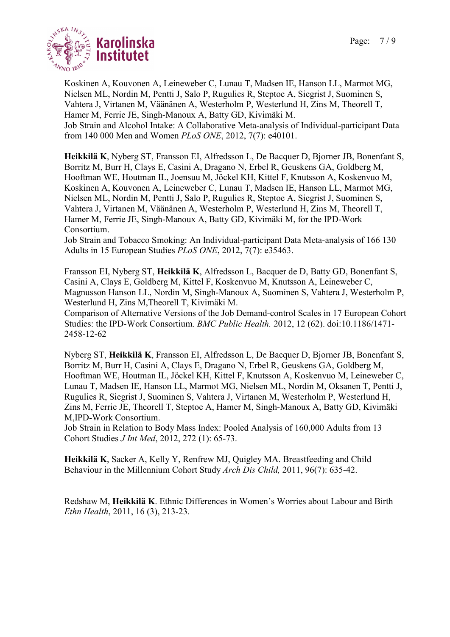

Koskinen A, Kouvonen A, Leineweber C, Lunau T, Madsen IE, Hanson LL, Marmot MG, Nielsen ML, Nordin M, Pentti J, Salo P, Rugulies R, Steptoe A, Siegrist J, Suominen S, Vahtera J, Virtanen M, Väänänen A, Westerholm P, Westerlund H, Zins M, Theorell T, Hamer M, Ferrie JE, Singh-Manoux A, Batty GD, Kivimäki M. Job Strain and Alcohol Intake: A Collaborative Meta-analysis of Individual-participant Data from 140 000 Men and Women PLoS ONE, 2012, 7(7): e40101.

Heikkilä K, Nyberg ST, Fransson EI, Alfredsson L, De Bacquer D, Bjorner JB, Bonenfant S, Borritz M, Burr H, Clays E, Casini A, Dragano N, Erbel R, Geuskens GA, Goldberg M, Hooftman WE, Houtman IL, Joensuu M, Jöckel KH, Kittel F, Knutsson A, Koskenvuo M, Koskinen A, Kouvonen A, Leineweber C, Lunau T, Madsen IE, Hanson LL, Marmot MG, Nielsen ML, Nordin M, Pentti J, Salo P, Rugulies R, Steptoe A, Siegrist J, Suominen S, Vahtera J, Virtanen M, Väänänen A, Westerholm P, Westerlund H, Zins M, Theorell T, Hamer M, Ferrie JE, Singh-Manoux A, Batty GD, Kivimäki M, for the IPD-Work Consortium.

Job Strain and Tobacco Smoking: An Individual-participant Data Meta-analysis of 166 130 Adults in 15 European Studies PLoS ONE, 2012, 7(7): e35463.

Fransson EI, Nyberg ST, Heikkilä K, Alfredsson L, Bacquer de D, Batty GD, Bonenfant S, Casini A, Clays E, Goldberg M, Kittel F, Koskenvuo M, Knutsson A, Leineweber C, Magnusson Hanson LL, Nordin M, Singh-Manoux A, Suominen S, Vahtera J, Westerholm P, Westerlund H, Zins M,Theorell T, Kivimäki M.

Comparison of Alternative Versions of the Job Demand-control Scales in 17 European Cohort Studies: the IPD-Work Consortium. BMC Public Health. 2012, 12 (62). doi:10.1186/1471- 2458-12-62

Nyberg ST, Heikkilä K, Fransson EI, Alfredsson L, De Bacquer D, Bjorner JB, Bonenfant S, Borritz M, Burr H, Casini A, Clays E, Dragano N, Erbel R, Geuskens GA, Goldberg M, Hooftman WE, Houtman IL, Jöckel KH, Kittel F, Knutsson A, Koskenvuo M, Leineweber C, Lunau T, Madsen IE, Hanson LL, Marmot MG, Nielsen ML, Nordin M, Oksanen T, Pentti J, Rugulies R, Siegrist J, Suominen S, Vahtera J, Virtanen M, Westerholm P, Westerlund H, Zins M, Ferrie JE, Theorell T, Steptoe A, Hamer M, Singh-Manoux A, Batty GD, Kivimäki M,IPD-Work Consortium.

Job Strain in Relation to Body Mass Index: Pooled Analysis of 160,000 Adults from 13 Cohort Studies J Int Med, 2012, 272 (1): 65-73.

Heikkilä K, Sacker A, Kelly Y, Renfrew MJ, Quigley MA. Breastfeeding and Child Behaviour in the Millennium Cohort Study Arch Dis Child, 2011, 96(7): 635-42.

Redshaw M, Heikkilä K. Ethnic Differences in Women's Worries about Labour and Birth Ethn Health, 2011, 16 (3), 213-23.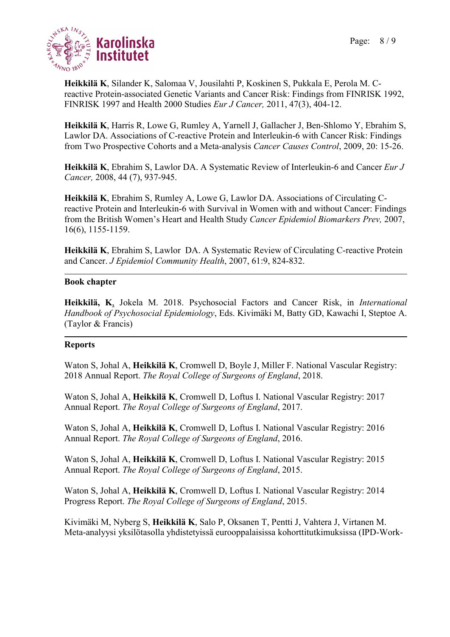

Heikkilä K, Silander K, Salomaa V, Jousilahti P, Koskinen S, Pukkala E, Perola M. Creactive Protein-associated Genetic Variants and Cancer Risk: Findings from FINRISK 1992, FINRISK 1997 and Health 2000 Studies Eur J Cancer, 2011, 47(3), 404-12.

Heikkilä K, Harris R, Lowe G, Rumley A, Yarnell J, Gallacher J, Ben-Shlomo Y, Ebrahim S, Lawlor DA. Associations of C-reactive Protein and Interleukin-6 with Cancer Risk: Findings from Two Prospective Cohorts and a Meta-analysis Cancer Causes Control, 2009, 20: 15-26.

Heikkilä K, Ebrahim S, Lawlor DA. A Systematic Review of Interleukin-6 and Cancer Eur J Cancer, 2008, 44 (7), 937-945.

Heikkilä K, Ebrahim S, Rumley A, Lowe G, Lawlor DA. Associations of Circulating Creactive Protein and Interleukin-6 with Survival in Women with and without Cancer: Findings from the British Women's Heart and Health Study Cancer Epidemiol Biomarkers Prev, 2007, 16(6), 1155-1159.

Heikkilä K, Ebrahim S, Lawlor DA. A Systematic Review of Circulating C-reactive Protein and Cancer. J Epidemiol Community Health, 2007, 61:9, 824-832.

### Book chapter

Heikkilä, K, Jokela M. 2018. Psychosocial Factors and Cancer Risk, in *International* Handbook of Psychosocial Epidemiology, Eds. Kivimäki M, Batty GD, Kawachi I, Steptoe A. (Taylor & Francis)

### Reports

Waton S, Johal A, Heikkilä K, Cromwell D, Boyle J, Miller F. National Vascular Registry: 2018 Annual Report. The Royal College of Surgeons of England, 2018.

Waton S, Johal A, Heikkilä K, Cromwell D, Loftus I. National Vascular Registry: 2017 Annual Report. The Royal College of Surgeons of England, 2017.

Waton S, Johal A, Heikkilä K, Cromwell D, Loftus I. National Vascular Registry: 2016 Annual Report. The Royal College of Surgeons of England, 2016.

Waton S, Johal A, Heikkilä K, Cromwell D, Loftus I. National Vascular Registry: 2015 Annual Report. The Royal College of Surgeons of England, 2015.

Waton S, Johal A, Heikkilä K, Cromwell D, Loftus I. National Vascular Registry: 2014 Progress Report. The Royal College of Surgeons of England, 2015.

Kivimäki M, Nyberg S, Heikkilä K, Salo P, Oksanen T, Pentti J, Vahtera J, Virtanen M. Meta-analyysi yksilötasolla yhdistetyissä eurooppalaisissa kohorttitutkimuksissa (IPD-Work-